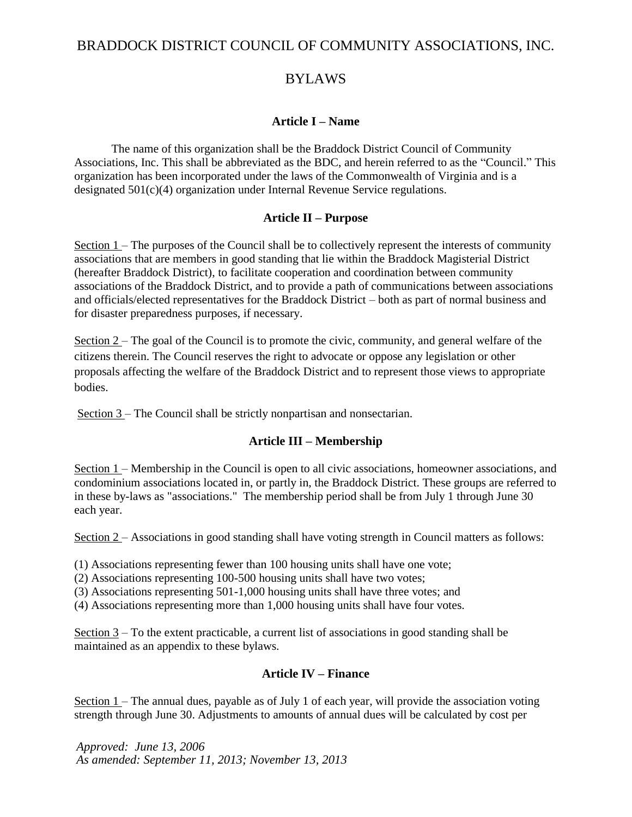## BYLAWS

### **Article I – Name**

The name of this organization shall be the Braddock District Council of Community Associations, Inc. This shall be abbreviated as the BDC, and herein referred to as the "Council." This organization has been incorporated under the laws of the Commonwealth of Virginia and is a designated 501(c)(4) organization under Internal Revenue Service regulations.

#### **Article II – Purpose**

Section 1 – The purposes of the Council shall be to collectively represent the interests of community associations that are members in good standing that lie within the Braddock Magisterial District (hereafter Braddock District), to facilitate cooperation and coordination between community associations of the Braddock District, and to provide a path of communications between associations and officials/elected representatives for the Braddock District – both as part of normal business and for disaster preparedness purposes, if necessary.

Section 2 – The goal of the Council is to promote the civic, community, and general welfare of the citizens therein. The Council reserves the right to advocate or oppose any legislation or other proposals affecting the welfare of the Braddock District and to represent those views to appropriate bodies.

Section 3 – The Council shall be strictly nonpartisan and nonsectarian.

#### **Article III – Membership**

Section 1 – Membership in the Council is open to all civic associations, homeowner associations, and condominium associations located in, or partly in, the Braddock District. These groups are referred to in these by-laws as "associations." The membership period shall be from July 1 through June 30 each year.

Section 2 – Associations in good standing shall have voting strength in Council matters as follows:

- (1) Associations representing fewer than 100 housing units shall have one vote;
- (2) Associations representing 100-500 housing units shall have two votes;
- (3) Associations representing 501-1,000 housing units shall have three votes; and
- (4) Associations representing more than 1,000 housing units shall have four votes.

Section  $3$  – To the extent practicable, a current list of associations in good standing shall be maintained as an appendix to these bylaws.

#### **Article IV – Finance**

Section 1 – The annual dues, payable as of July 1 of each year, will provide the association voting strength through June 30. Adjustments to amounts of annual dues will be calculated by cost per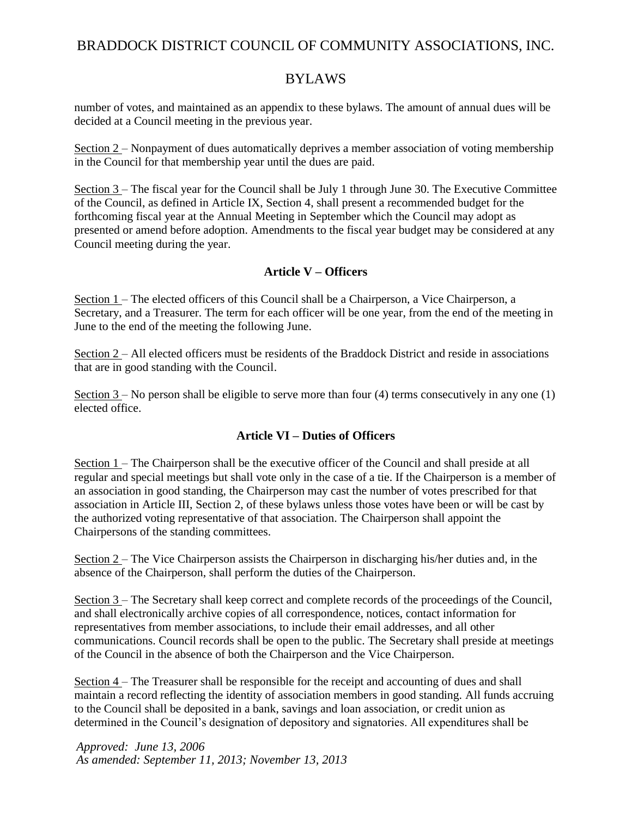## BYLAWS

number of votes, and maintained as an appendix to these bylaws. The amount of annual dues will be decided at a Council meeting in the previous year.

Section 2 – Nonpayment of dues automatically deprives a member association of voting membership in the Council for that membership year until the dues are paid.

Section 3 – The fiscal year for the Council shall be July 1 through June 30. The Executive Committee of the Council, as defined in Article IX, Section 4, shall present a recommended budget for the forthcoming fiscal year at the Annual Meeting in September which the Council may adopt as presented or amend before adoption. Amendments to the fiscal year budget may be considered at any Council meeting during the year.

#### **Article V – Officers**

Section 1 – The elected officers of this Council shall be a Chairperson, a Vice Chairperson, a Secretary, and a Treasurer. The term for each officer will be one year, from the end of the meeting in June to the end of the meeting the following June.

Section 2 – All elected officers must be residents of the Braddock District and reside in associations that are in good standing with the Council.

Section  $3 - No$  person shall be eligible to serve more than four (4) terms consecutively in any one (1) elected office.

### **Article VI – Duties of Officers**

Section 1 – The Chairperson shall be the executive officer of the Council and shall preside at all regular and special meetings but shall vote only in the case of a tie. If the Chairperson is a member of an association in good standing, the Chairperson may cast the number of votes prescribed for that association in Article III, Section 2, of these bylaws unless those votes have been or will be cast by the authorized voting representative of that association. The Chairperson shall appoint the Chairpersons of the standing committees.

Section 2 – The Vice Chairperson assists the Chairperson in discharging his/her duties and, in the absence of the Chairperson, shall perform the duties of the Chairperson.

Section 3 – The Secretary shall keep correct and complete records of the proceedings of the Council, and shall electronically archive copies of all correspondence, notices, contact information for representatives from member associations, to include their email addresses, and all other communications. Council records shall be open to the public. The Secretary shall preside at meetings of the Council in the absence of both the Chairperson and the Vice Chairperson.

Section 4 – The Treasurer shall be responsible for the receipt and accounting of dues and shall maintain a record reflecting the identity of association members in good standing. All funds accruing to the Council shall be deposited in a bank, savings and loan association, or credit union as determined in the Council's designation of depository and signatories. All expenditures shall be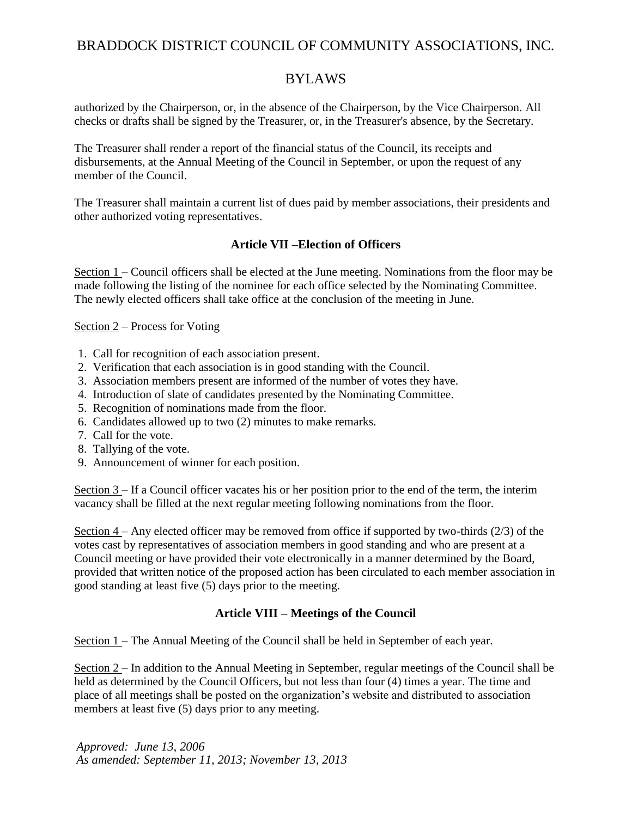## BYLAWS

authorized by the Chairperson, or, in the absence of the Chairperson, by the Vice Chairperson. All checks or drafts shall be signed by the Treasurer, or, in the Treasurer's absence, by the Secretary.

The Treasurer shall render a report of the financial status of the Council, its receipts and disbursements, at the Annual Meeting of the Council in September, or upon the request of any member of the Council.

The Treasurer shall maintain a current list of dues paid by member associations, their presidents and other authorized voting representatives.

#### **Article VII –Election of Officers**

Section 1 – Council officers shall be elected at the June meeting. Nominations from the floor may be made following the listing of the nominee for each office selected by the Nominating Committee. The newly elected officers shall take office at the conclusion of the meeting in June.

Section 2 – Process for Voting

- 1. Call for recognition of each association present.
- 2. Verification that each association is in good standing with the Council.
- 3. Association members present are informed of the number of votes they have.
- 4. Introduction of slate of candidates presented by the Nominating Committee.
- 5. Recognition of nominations made from the floor.
- 6. Candidates allowed up to two (2) minutes to make remarks.
- 7. Call for the vote.
- 8. Tallying of the vote.
- 9. Announcement of winner for each position.

Section 3 – If a Council officer vacates his or her position prior to the end of the term, the interim vacancy shall be filled at the next regular meeting following nominations from the floor.

Section  $4 - Any$  elected officer may be removed from office if supported by two-thirds ( $2/3$ ) of the votes cast by representatives of association members in good standing and who are present at a Council meeting or have provided their vote electronically in a manner determined by the Board, provided that written notice of the proposed action has been circulated to each member association in good standing at least five (5) days prior to the meeting.

#### **Article VIII – Meetings of the Council**

Section 1 – The Annual Meeting of the Council shall be held in September of each year.

Section 2 – In addition to the Annual Meeting in September, regular meetings of the Council shall be held as determined by the Council Officers, but not less than four (4) times a year. The time and place of all meetings shall be posted on the organization's website and distributed to association members at least five (5) days prior to any meeting.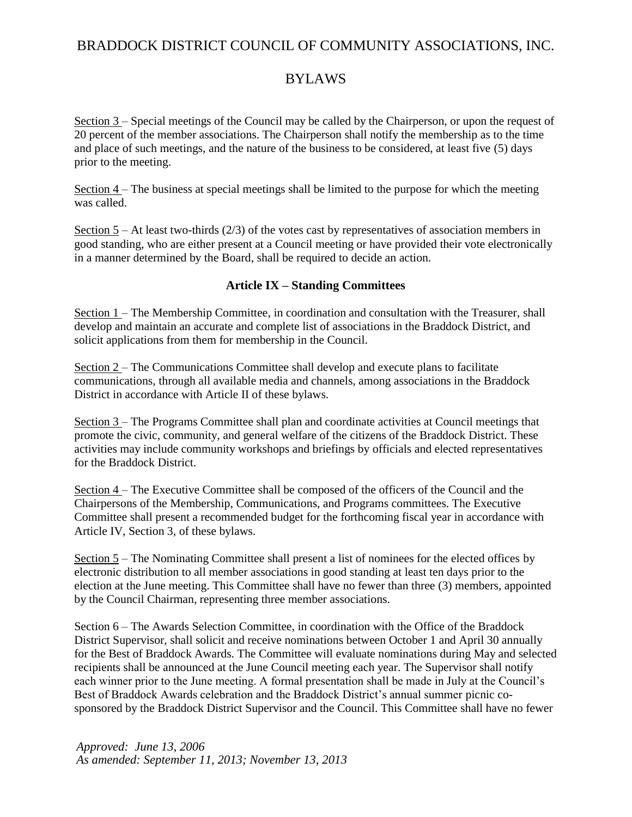## BYLAWS

Section 3 – Special meetings of the Council may be called by the Chairperson, or upon the request of 20 percent of the member associations. The Chairperson shall notify the membership as to the time and place of such meetings, and the nature of the business to be considered, at least five (5) days prior to the meeting.

Section 4 – The business at special meetings shall be limited to the purpose for which the meeting was called.

Section  $5 - At$  least two-thirds (2/3) of the votes cast by representatives of association members in good standing, who are either present at a Council meeting or have provided their vote electronically in a manner determined by the Board, shall be required to decide an action.

#### **Article IX – Standing Committees**

Section 1 – The Membership Committee, in coordination and consultation with the Treasurer, shall develop and maintain an accurate and complete list of associations in the Braddock District, and solicit applications from them for membership in the Council.

Section 2 – The Communications Committee shall develop and execute plans to facilitate communications, through all available media and channels, among associations in the Braddock District in accordance with Article II of these bylaws.

Section 3 – The Programs Committee shall plan and coordinate activities at Council meetings that promote the civic, community, and general welfare of the citizens of the Braddock District. These activities may include community workshops and briefings by officials and elected representatives for the Braddock District.

Section 4 – The Executive Committee shall be composed of the officers of the Council and the Chairpersons of the Membership, Communications, and Programs committees. The Executive Committee shall present a recommended budget for the forthcoming fiscal year in accordance with Article IV, Section 3, of these bylaws.

Section 5 – The Nominating Committee shall present a list of nominees for the elected offices by electronic distribution to all member associations in good standing at least ten days prior to the election at the June meeting. This Committee shall have no fewer than three (3) members, appointed by the Council Chairman, representing three member associations.

Section 6 – The Awards Selection Committee, in coordination with the Office of the Braddock District Supervisor, shall solicit and receive nominations between October 1 and April 30 annually for the Best of Braddock Awards. The Committee will evaluate nominations during May and selected recipients shall be announced at the June Council meeting each year. The Supervisor shall notify each winner prior to the June meeting. A formal presentation shall be made in July at the Council's Best of Braddock Awards celebration and the Braddock District's annual summer picnic cosponsored by the Braddock District Supervisor and the Council. This Committee shall have no fewer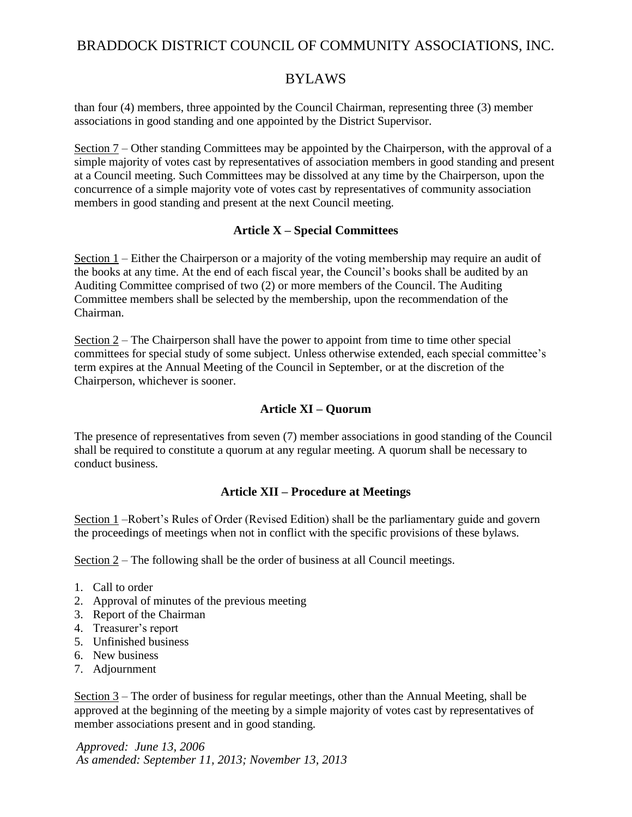### BYLAWS

than four (4) members, three appointed by the Council Chairman, representing three (3) member associations in good standing and one appointed by the District Supervisor.

Section 7 – Other standing Committees may be appointed by the Chairperson, with the approval of a simple majority of votes cast by representatives of association members in good standing and present at a Council meeting. Such Committees may be dissolved at any time by the Chairperson, upon the concurrence of a simple majority vote of votes cast by representatives of community association members in good standing and present at the next Council meeting.

#### **Article X – Special Committees**

Section 1 – Either the Chairperson or a majority of the voting membership may require an audit of the books at any time. At the end of each fiscal year, the Council's books shall be audited by an Auditing Committee comprised of two (2) or more members of the Council. The Auditing Committee members shall be selected by the membership, upon the recommendation of the Chairman.

Section 2 – The Chairperson shall have the power to appoint from time to time other special committees for special study of some subject. Unless otherwise extended, each special committee's term expires at the Annual Meeting of the Council in September, or at the discretion of the Chairperson, whichever is sooner.

#### **Article XI – Quorum**

The presence of representatives from seven (7) member associations in good standing of the Council shall be required to constitute a quorum at any regular meeting. A quorum shall be necessary to conduct business.

#### **Article XII – Procedure at Meetings**

Section 1 –Robert's Rules of Order (Revised Edition) shall be the parliamentary guide and govern the proceedings of meetings when not in conflict with the specific provisions of these bylaws.

Section 2 – The following shall be the order of business at all Council meetings.

- 1. Call to order
- 2. Approval of minutes of the previous meeting
- 3. Report of the Chairman
- 4. Treasurer's report
- 5. Unfinished business
- 6. New business
- 7. Adjournment

Section 3 – The order of business for regular meetings, other than the Annual Meeting, shall be approved at the beginning of the meeting by a simple majority of votes cast by representatives of member associations present and in good standing.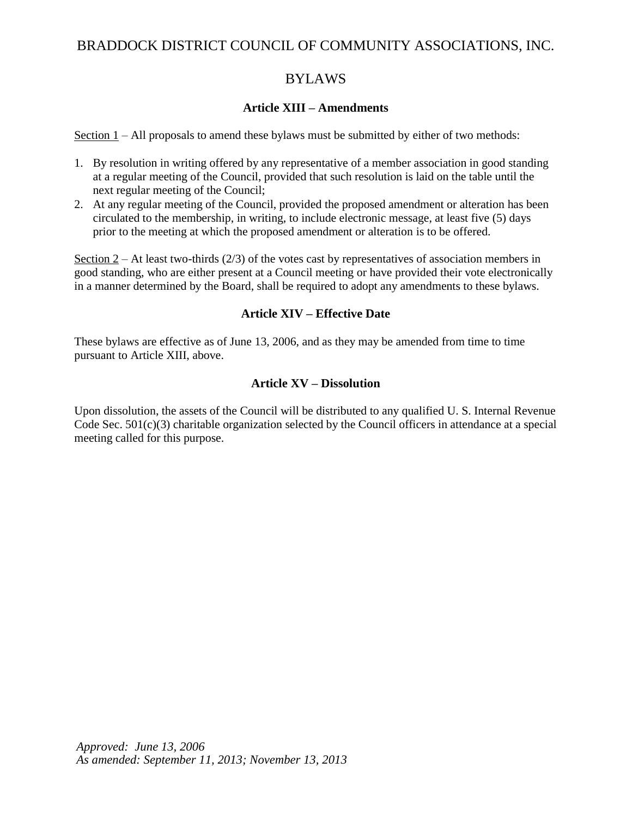### BYLAWS

#### **Article XIII – Amendments**

Section  $1 -$  All proposals to amend these bylaws must be submitted by either of two methods:

- 1. By resolution in writing offered by any representative of a member association in good standing at a regular meeting of the Council, provided that such resolution is laid on the table until the next regular meeting of the Council;
- 2. At any regular meeting of the Council, provided the proposed amendment or alteration has been circulated to the membership, in writing, to include electronic message, at least five (5) days prior to the meeting at which the proposed amendment or alteration is to be offered.

Section  $2 - At$  least two-thirds (2/3) of the votes cast by representatives of association members in good standing, who are either present at a Council meeting or have provided their vote electronically in a manner determined by the Board, shall be required to adopt any amendments to these bylaws.

### **Article XIV – Effective Date**

These bylaws are effective as of June 13, 2006, and as they may be amended from time to time pursuant to Article XIII, above.

### **Article XV – Dissolution**

Upon dissolution, the assets of the Council will be distributed to any qualified U. S. Internal Revenue Code Sec. 501(c)(3) charitable organization selected by the Council officers in attendance at a special meeting called for this purpose.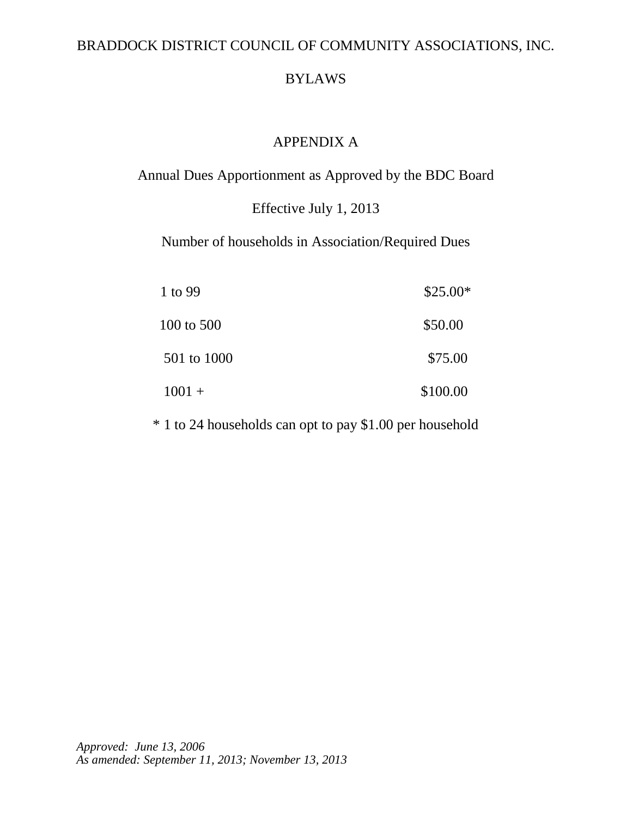## BYLAWS

### APPENDIX A

Annual Dues Apportionment as Approved by the BDC Board

Effective July 1, 2013

Number of households in Association/Required Dues

| 1 to 99     | $$25.00*$ |
|-------------|-----------|
| 100 to 500  | \$50.00   |
| 501 to 1000 | \$75.00   |
| $1001 +$    | \$100.00  |

\* 1 to 24 households can opt to pay \$1.00 per household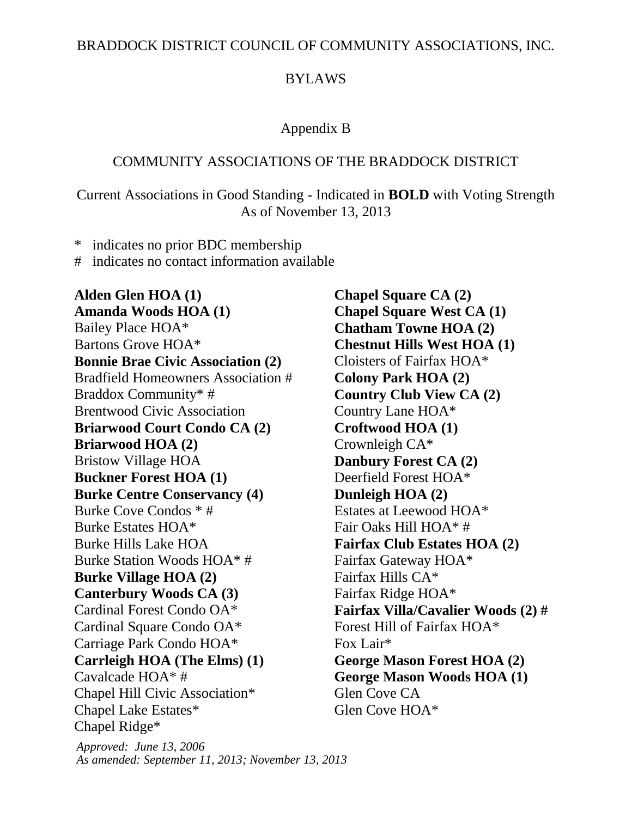### BYLAWS

### Appendix B

### COMMUNITY ASSOCIATIONS OF THE BRADDOCK DISTRICT

Current Associations in Good Standing - Indicated in **BOLD** with Voting Strength As of November 13, 2013

\* indicates no prior BDC membership

# indicates no contact information available

**Alden Glen HOA (1) Amanda Woods HOA (1)** Bailey Place HOA\* Bartons Grove HOA\* **Bonnie Brae Civic Association (2)** Bradfield Homeowners Association # Braddox Community\* # Brentwood Civic Association **Briarwood Court Condo CA (2) Briarwood HOA (2)** Bristow Village HOA **Buckner Forest HOA (1) Burke Centre Conservancy (4)** Burke Cove Condos \* # Burke Estates HOA\* Burke Hills Lake HOA Burke Station Woods HOA\* # **Burke Village HOA (2) Canterbury Woods CA (3)** Cardinal Forest Condo OA\* Cardinal Square Condo OA\* Carriage Park Condo HOA\* **Carrleigh HOA (The Elms) (1)** Cavalcade HOA\* # Chapel Hill Civic Association\* Chapel Lake Estates\* Chapel Ridge\*

**Chapel Square CA (2) Chapel Square West CA (1) Chatham Towne HOA (2) Chestnut Hills West HOA (1)** Cloisters of Fairfax HOA\* **Colony Park HOA (2) Country Club View CA (2)** Country Lane HOA\* **Croftwood HOA (1)** Crownleigh CA\* **Danbury Forest CA (2)** Deerfield Forest HOA\* **Dunleigh HOA (2)** Estates at Leewood HOA\* Fair Oaks Hill HOA\* # **Fairfax Club Estates HOA (2)** Fairfax Gateway HOA\* Fairfax Hills CA\* Fairfax Ridge HOA\* **Fairfax Villa/Cavalier Woods (2) #** Forest Hill of Fairfax HOA\* Fox Lair\* **George Mason Forest HOA (2) George Mason Woods HOA (1)** Glen Cove CA Glen Cove HOA\*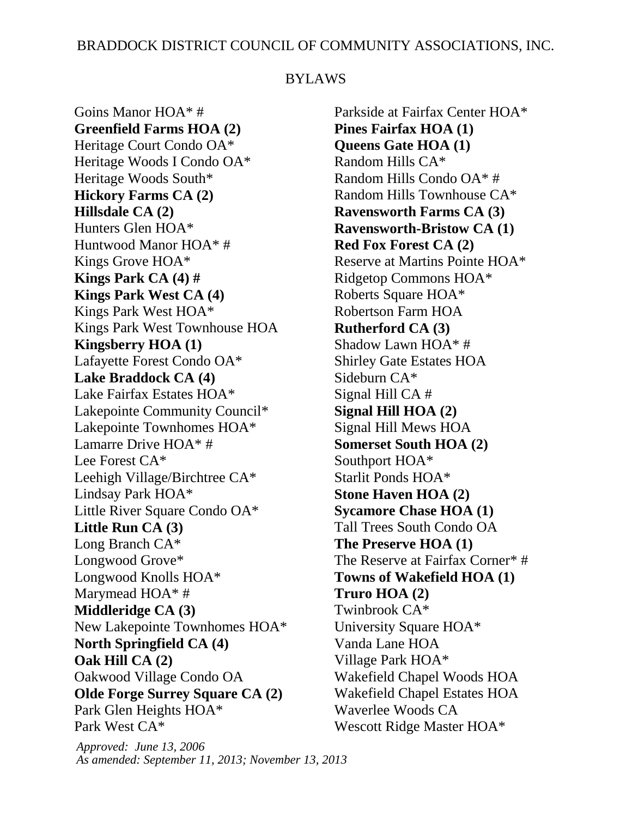### BYLAWS

Goins Manor HOA\* # **Greenfield Farms HOA (2)** Heritage Court Condo OA\* Heritage Woods I Condo OA\* Heritage Woods South\* **Hickory Farms CA (2) Hillsdale CA (2)** Hunters Glen HOA\* Huntwood Manor HOA\* # Kings Grove HOA\* **Kings Park CA (4) # Kings Park West CA (4)** Kings Park West HOA\* Kings Park West Townhouse HOA **Kingsberry HOA (1)** Lafayette Forest Condo OA\* **Lake Braddock CA (4)** Lake Fairfax Estates HOA\* Lakepointe Community Council\* Lakepointe Townhomes HOA\* Lamarre Drive HOA\* # Lee Forest CA\* Leehigh Village/Birchtree CA\* Lindsay Park HOA\* Little River Square Condo OA\* **Little Run CA (3)** Long Branch CA\* Longwood Grove\* Longwood Knolls HOA\* Marymead HOA\* # **Middleridge CA (3)** New Lakepointe Townhomes HOA\* **North Springfield CA (4) Oak Hill CA (2)** Oakwood Village Condo OA **Olde Forge Surrey Square CA (2)** Park Glen Heights HOA\* Park West CA\*

Parkside at Fairfax Center HOA\* **Pines Fairfax HOA (1) Queens Gate HOA (1)** Random Hills CA\* Random Hills Condo OA\* # Random Hills Townhouse CA\* **Ravensworth Farms CA (3) Ravensworth-Bristow CA (1) Red Fox Forest CA (2)** Reserve at Martins Pointe HOA\* Ridgetop Commons HOA\* Roberts Square HOA\* Robertson Farm HOA **Rutherford CA (3)** Shadow Lawn HOA\* # Shirley Gate Estates HOA Sideburn CA\* Signal Hill CA # **Signal Hill HOA (2)** Signal Hill Mews HOA **Somerset South HOA (2)** Southport HOA\* Starlit Ponds HOA\* **Stone Haven HOA (2) Sycamore Chase HOA (1)** Tall Trees South Condo OA **The Preserve HOA (1)** The Reserve at Fairfax Corner\* # **Towns of Wakefield HOA (1) Truro HOA (2)** Twinbrook CA\* University Square HOA\* Vanda Lane HOA Village Park HOA\* Wakefield Chapel Woods HOA Wakefield Chapel Estates HOA Waverlee Woods CA Wescott Ridge Master HOA\*